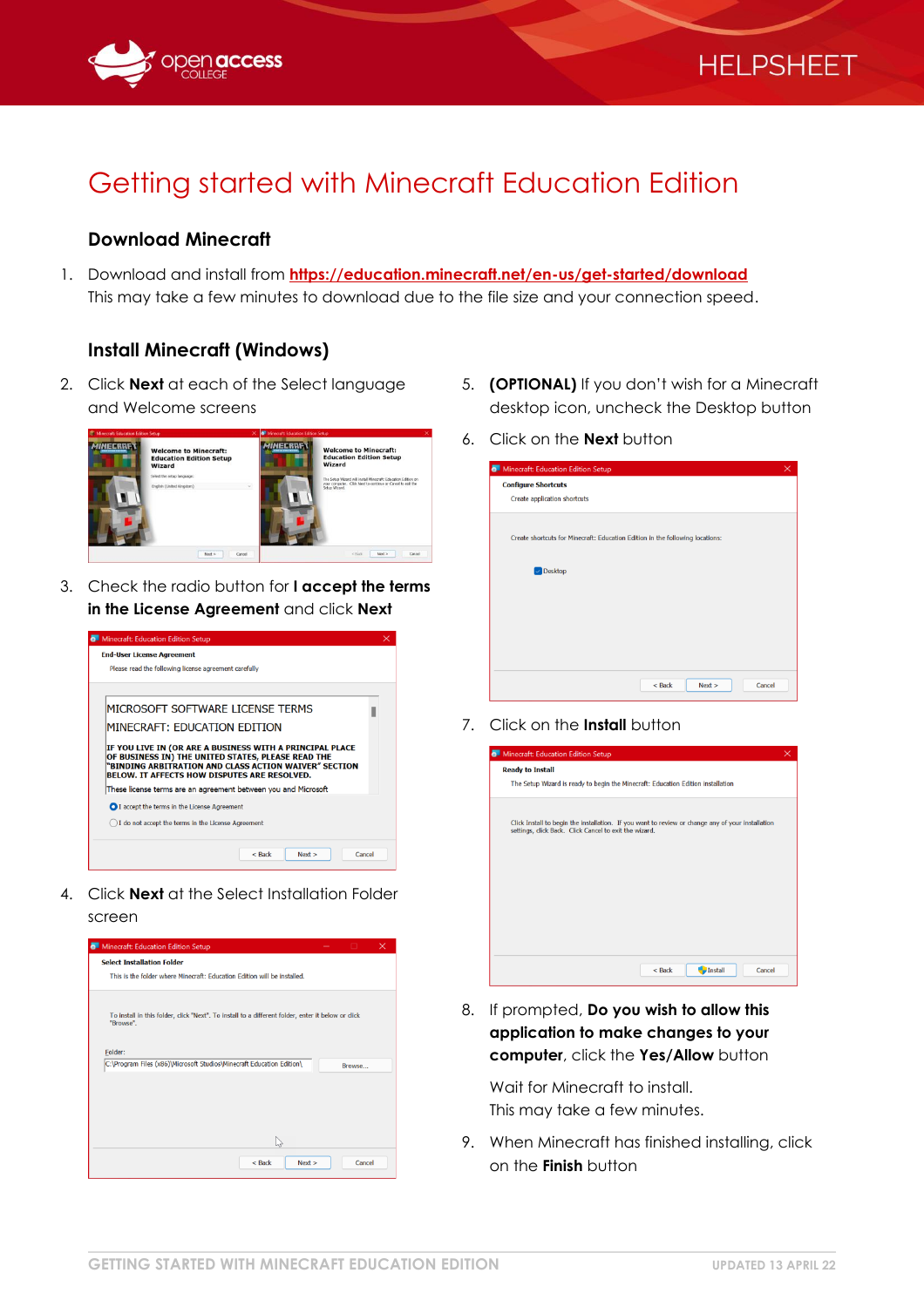

# Getting started with Minecraft Education Edition

## **Download Minecraft**

1. Download and install from **<https://education.minecraft.net/en-us/get-started/download>** This may take a few minutes to download due to the file size and your connection speed.

## **Install Minecraft (Windows)**

2. Click **Next** at each of the Select language and Welcome screens



3. Check the radio button for **I accept the terms in the License Agreement** and click **Next**



4. Click **Next** at the Select Installation Folder screen



5. **(OPTIONAL)** If you don't wish for a Minecraft desktop icon, uncheck the Desktop button

**HELPSHEET** 

6. Click on the **Next** button

| <b>6</b> Minecraft: Education Edition Setup                                   |                  | $\times$ |
|-------------------------------------------------------------------------------|------------------|----------|
| <b>Configure Shortcuts</b>                                                    |                  |          |
| Create application shortcuts                                                  |                  |          |
|                                                                               |                  |          |
| Create shortcuts for Minecraft: Education Edition in the following locations: |                  |          |
|                                                                               |                  |          |
| Oesktop                                                                       |                  |          |
|                                                                               |                  |          |
|                                                                               |                  |          |
|                                                                               |                  |          |
|                                                                               |                  |          |
|                                                                               |                  |          |
|                                                                               |                  |          |
|                                                                               | $<$ Back<br>Next | Cancel   |

7. Click on the **Install** button



8. If prompted, **Do you wish to allow this application to make changes to your computer**, click the **Yes/Allow** button

Wait for Minecraft to install. This may take a few minutes.

9. When Minecraft has finished installing, click on the **Finish** button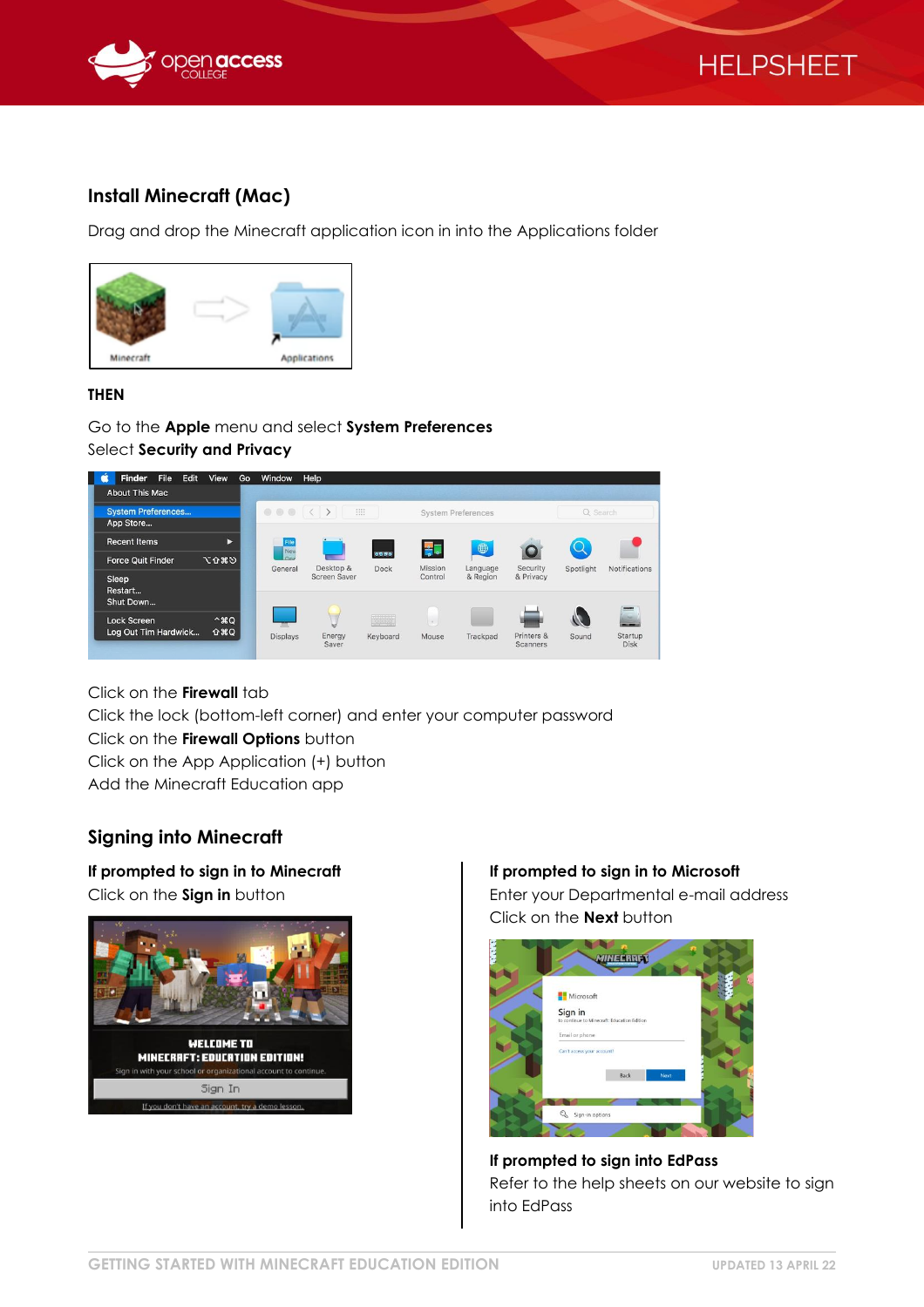



## **Install Minecraft (Mac)**

Drag and drop the Minecraft application icon in into the Applications folder



#### **THEN**

Go to the **Apple** menu and select **System Preferences** Select **Security and Privacy**



Click on the **Firewall** tab

Click the lock (bottom-left corner) and enter your computer password

#### Click on the **Firewall Options** button

Click on the App Application (+) button

Add the Minecraft Education app

## **Signing into Minecraft**

**If prompted to sign in to Minecraft** Click on the **Sign in** button



### **If prompted to sign in to Microsoft**

Enter your Departmental e-mail address Click on the **Next** button



**If prompted to sign into EdPass** Refer to the help sheets on our website to sign into EdPass